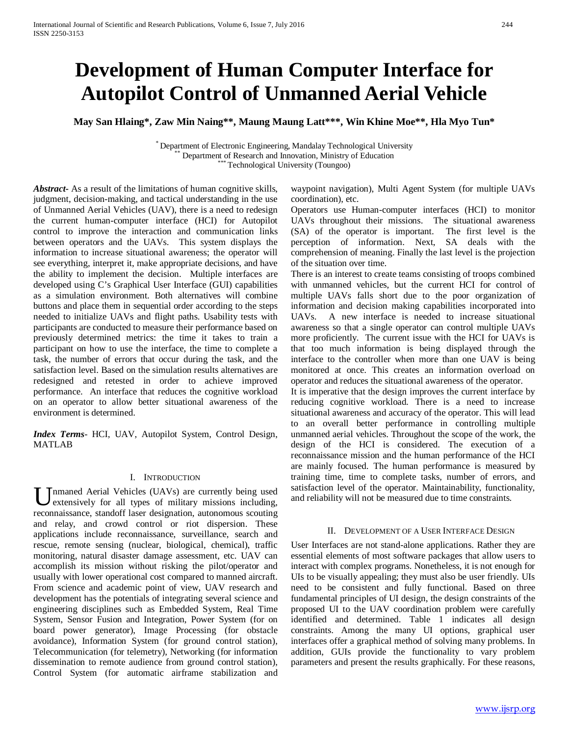# **Development of Human Computer Interface for Autopilot Control of Unmanned Aerial Vehicle**

**May San Hlaing\*, Zaw Min Naing\*\*, Maung Maung Latt\*\*\*, Win Khine Moe\*\*, Hla Myo Tun\***

\* Department of Electronic Engineering, Mandalay Technological University \*\* Department of Research and Innovation, Ministry of Education \*\*\* Technological University (Toungoo)

*Abstract***-** As a result of the limitations of human cognitive skills, judgment, decision-making, and tactical understanding in the use of Unmanned Aerial Vehicles (UAV), there is a need to redesign the current human-computer interface (HCI) for Autopilot control to improve the interaction and communication links between operators and the UAVs. This system displays the information to increase situational awareness; the operator will see everything, interpret it, make appropriate decisions, and have the ability to implement the decision. Multiple interfaces are developed using C's Graphical User Interface (GUI) capabilities as a simulation environment. Both alternatives will combine buttons and place them in sequential order according to the steps needed to initialize UAVs and flight paths. Usability tests with participants are conducted to measure their performance based on previously determined metrics: the time it takes to train a participant on how to use the interface, the time to complete a task, the number of errors that occur during the task, and the satisfaction level. Based on the simulation results alternatives are redesigned and retested in order to achieve improved performance. An interface that reduces the cognitive workload on an operator to allow better situational awareness of the environment is determined.

*Index Terms*- HCI, UAV, Autopilot System, Control Design, MATLAB

#### I. INTRODUCTION

nmaned Aerial Vehicles (UAVs) are currently being used extensively for all types of military missions including, **U** nmaned Aerial Vehicles (UAVs) are currently being used extensively for all types of military missions including, reconnaissance, standoff laser designation, autonomous scouting and relay, and crowd control or riot dispersion. These applications include reconnaissance, surveillance, search and rescue, remote sensing (nuclear, biological, chemical), traffic monitoring, natural disaster damage assessment, etc. UAV can accomplish its mission without risking the pilot/operator and usually with lower operational cost compared to manned aircraft. From science and academic point of view, UAV research and development has the potentials of integrating several science and engineering disciplines such as Embedded System, Real Time System, Sensor Fusion and Integration, Power System (for on board power generator), Image Processing (for obstacle avoidance), Information System (for ground control station), Telecommunication (for telemetry), Networking (for information dissemination to remote audience from ground control station), Control System (for automatic airframe stabilization and

waypoint navigation), Multi Agent System (for multiple UAVs coordination), etc.

Operators use Human-computer interfaces (HCI) to monitor UAVs throughout their missions. The situational awareness (SA) of the operator is important. The first level is the perception of information. Next, SA deals with the comprehension of meaning. Finally the last level is the projection of the situation over time.

There is an interest to create teams consisting of troops combined with unmanned vehicles, but the current HCI for control of multiple UAVs falls short due to the poor organization of information and decision making capabilities incorporated into UAVs. A new interface is needed to increase situational awareness so that a single operator can control multiple UAVs more proficiently. The current issue with the HCI for UAVs is that too much information is being displayed through the interface to the controller when more than one UAV is being monitored at once. This creates an information overload on operator and reduces the situational awareness of the operator.

It is imperative that the design improves the current interface by reducing cognitive workload. There is a need to increase situational awareness and accuracy of the operator. This will lead to an overall better performance in controlling multiple unmanned aerial vehicles. Throughout the scope of the work, the design of the HCI is considered. The execution of a reconnaissance mission and the human performance of the HCI are mainly focused. The human performance is measured by training time, time to complete tasks, number of errors, and satisfaction level of the operator. Maintainability, functionality, and reliability will not be measured due to time constraints.

#### II. DEVELOPMENT OF A USER INTERFACE DESIGN

User Interfaces are not stand-alone applications. Rather they are essential elements of most software packages that allow users to interact with complex programs. Nonetheless, it is not enough for UIs to be visually appealing; they must also be user friendly. UIs need to be consistent and fully functional. Based on three fundamental principles of UI design, the design constraints of the proposed UI to the UAV coordination problem were carefully identified and determined. Table 1 indicates all design constraints. Among the many UI options, graphical user interfaces offer a graphical method of solving many problems. In addition, GUIs provide the functionality to vary problem parameters and present the results graphically. For these reasons,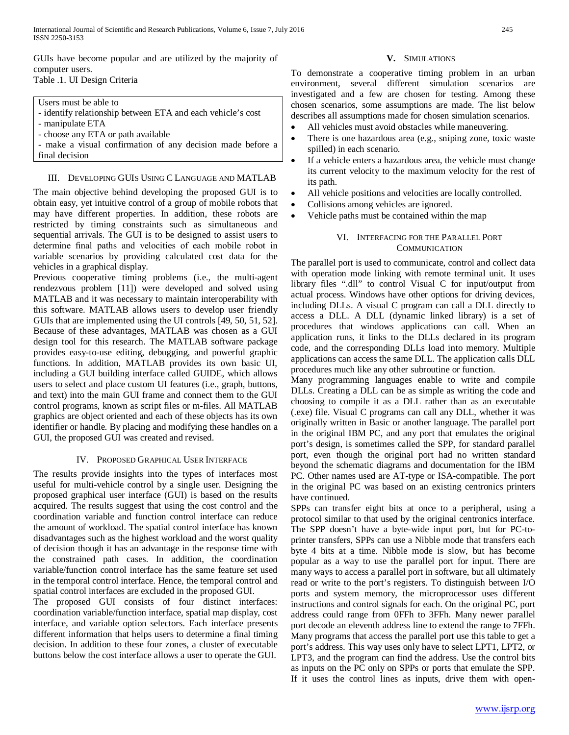GUIs have become popular and are utilized by the majority of computer users. Table .1. UI Design Criteria

#### Users must be able to

- identify relationship between ETA and each vehicle's cost
- manipulate ETA
- choose any ETA or path available

- make a visual confirmation of any decision made before a final decision

#### III. DEVELOPING GUIS USING C LANGUAGE AND MATLAB

The main objective behind developing the proposed GUI is to obtain easy, yet intuitive control of a group of mobile robots that may have different properties. In addition, these robots are restricted by timing constraints such as simultaneous and sequential arrivals. The GUI is to be designed to assist users to determine final paths and velocities of each mobile robot in variable scenarios by providing calculated cost data for the vehicles in a graphical display.

Previous cooperative timing problems (i.e., the multi-agent rendezvous problem [11]) were developed and solved using MATLAB and it was necessary to maintain interoperability with this software. MATLAB allows users to develop user friendly GUIs that are implemented using the UI controls [49, 50, 51, 52]. Because of these advantages, MATLAB was chosen as a GUI design tool for this research. The MATLAB software package provides easy-to-use editing, debugging, and powerful graphic functions. In addition, MATLAB provides its own basic UI, including a GUI building interface called GUIDE, which allows users to select and place custom UI features (i.e., graph, buttons, and text) into the main GUI frame and connect them to the GUI control programs, known as script files or m-files. All MATLAB graphics are object oriented and each of these objects has its own identifier or handle. By placing and modifying these handles on a GUI, the proposed GUI was created and revised.

#### IV. PROPOSED GRAPHICAL USER INTERFACE

The results provide insights into the types of interfaces most useful for multi-vehicle control by a single user. Designing the proposed graphical user interface (GUI) is based on the results acquired. The results suggest that using the cost control and the coordination variable and function control interface can reduce the amount of workload. The spatial control interface has known disadvantages such as the highest workload and the worst quality of decision though it has an advantage in the response time with the constrained path cases. In addition, the coordination variable/function control interface has the same feature set used in the temporal control interface. Hence, the temporal control and spatial control interfaces are excluded in the proposed GUI.

The proposed GUI consists of four distinct interfaces: coordination variable/function interface, spatial map display, cost interface, and variable option selectors. Each interface presents different information that helps users to determine a final timing decision. In addition to these four zones, a cluster of executable buttons below the cost interface allows a user to operate the GUI.

#### **V.** SIMULATIONS

To demonstrate a cooperative timing problem in an urban environment, several different simulation scenarios are investigated and a few are chosen for testing. Among these chosen scenarios, some assumptions are made. The list below describes all assumptions made for chosen simulation scenarios.

- All vehicles must avoid obstacles while maneuvering.
- There is one hazardous area (e.g., sniping zone, toxic waste spilled) in each scenario.
- If a vehicle enters a hazardous area, the vehicle must change its current velocity to the maximum velocity for the rest of its path.
- All vehicle positions and velocities are locally controlled.
- Collisions among vehicles are ignored.
- Vehicle paths must be contained within the map

#### VI. INTERFACING FOR THE PARALLEL PORT **COMMUNICATION**

The parallel port is used to communicate, control and collect data with operation mode linking with remote terminal unit. It uses library files ".dll" to control Visual C for input/output from actual process. Windows have other options for driving devices, including DLLs. A visual C program can call a DLL directly to access a DLL. A DLL (dynamic linked library) is a set of procedures that windows applications can call. When an application runs, it links to the DLLs declared in its program code, and the corresponding DLLs load into memory. Multiple applications can access the same DLL. The application calls DLL procedures much like any other subroutine or function.

Many programming languages enable to write and compile DLLs. Creating a DLL can be as simple as writing the code and choosing to compile it as a DLL rather than as an executable (.exe) file. Visual C programs can call any DLL, whether it was originally written in Basic or another language. The parallel port in the original IBM PC, and any port that emulates the original port's design, is sometimes called the SPP, for standard parallel port, even though the original port had no written standard beyond the schematic diagrams and documentation for the IBM PC. Other names used are AT-type or ISA-compatible. The port in the original PC was based on an existing centronics printers have continued.

SPPs can transfer eight bits at once to a peripheral, using a protocol similar to that used by the original centronics interface. The SPP doesn't have a byte-wide input port, but for PC-toprinter transfers, SPPs can use a Nibble mode that transfers each byte 4 bits at a time. Nibble mode is slow, but has become popular as a way to use the parallel port for input. There are many ways to access a parallel port in software, but all ultimately read or write to the port's registers. To distinguish between I/O ports and system memory, the microprocessor uses different instructions and control signals for each. On the original PC, port address could range from 0FFh to 3FFh. Many newer parallel port decode an eleventh address line to extend the range to 7FFh. Many programs that access the parallel port use this table to get a port's address. This way uses only have to select LPT1, LPT2, or LPT3, and the program can find the address. Use the control bits as inputs on the PC only on SPPs or ports that emulate the SPP. If it uses the control lines as inputs, drive them with open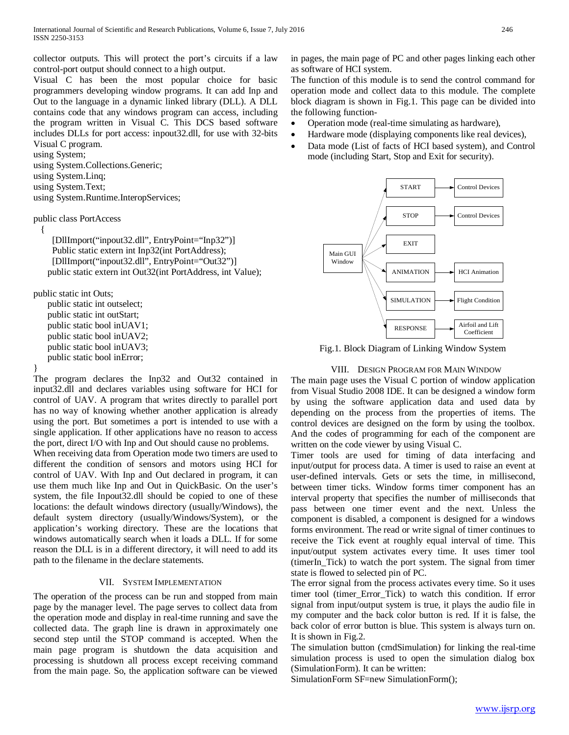collector outputs. This will protect the port's circuits if a law control-port output should connect to a high output.

Visual C has been the most popular choice for basic programmers developing window programs. It can add Inp and Out to the language in a dynamic linked library (DLL). A DLL contains code that any windows program can access, including the program written in Visual C. This DCS based software includes DLLs for port access: inpout32.dll, for use with 32-bits Visual C program.

using System;

using System.Collections.Generic;

```
using System.Linq;
```
using System.Text;

using System.Runtime.InteropServices;

```
public class PortAccess
```
{

 [DllImport("inpout32.dll", EntryPoint="Inp32")] Public static extern int Inp32(int PortAddress); [DllImport("inpout32.dll", EntryPoint="Out32")] public static extern int Out32(int PortAddress, int Value);

public static int Outs;

```
 public static int outselect;
public static int outStart;
public static bool inUAV1;
public static bool inUAV2;
public static bool inUAV3;
public static bool inError;
```
## }

The program declares the Inp32 and Out32 contained in input32.dll and declares variables using software for HCI for control of UAV. A program that writes directly to parallel port has no way of knowing whether another application is already using the port. But sometimes a port is intended to use with a single application. If other applications have no reason to access the port, direct I/O with Inp and Out should cause no problems.

When receiving data from Operation mode two timers are used to different the condition of sensors and motors using HCI for control of UAV. With Inp and Out declared in program, it can use them much like Inp and Out in QuickBasic. On the user's system, the file Inpout32.dll should be copied to one of these locations: the default windows directory (usually/Windows), the default system directory (usually/Windows/System), or the application's working directory. These are the locations that windows automatically search when it loads a DLL. If for some reason the DLL is in a different directory, it will need to add its path to the filename in the declare statements.

## VII. SYSTEM IMPLEMENTATION

The operation of the process can be run and stopped from main page by the manager level. The page serves to collect data from the operation mode and display in real-time running and save the collected data. The graph line is drawn in approximately one second step until the STOP command is accepted. When the main page program is shutdown the data acquisition and processing is shutdown all process except receiving command from the main page. So, the application software can be viewed

in pages, the main page of PC and other pages linking each other as software of HCI system.

The function of this module is to send the control command for operation mode and collect data to this module. The complete block diagram is shown in Fig.1. This page can be divided into the following function-

- Operation mode (real-time simulating as hardware),
- Hardware mode (displaying components like real devices),
- Data mode (List of facts of HCI based system), and Control mode (including Start, Stop and Exit for security).



Fig.1. Block Diagram of Linking Window System

## VIII. DESIGN PROGRAM FOR MAIN WINDOW

The main page uses the Visual C portion of window application from Visual Studio 2008 IDE. It can be designed a window form by using the software application data and used data by depending on the process from the properties of items. The control devices are designed on the form by using the toolbox. And the codes of programming for each of the component are written on the code viewer by using Visual C.

Timer tools are used for timing of data interfacing and input/output for process data. A timer is used to raise an event at user-defined intervals. Gets or sets the time, in millisecond, between timer ticks. Window forms timer component has an interval property that specifies the number of milliseconds that pass between one timer event and the next. Unless the component is disabled, a component is designed for a windows forms environment. The read or write signal of timer continues to receive the Tick event at roughly equal interval of time. This input/output system activates every time. It uses timer tool (timerIn\_Tick) to watch the port system. The signal from timer state is flowed to selected pin of PC.

The error signal from the process activates every time. So it uses timer tool (timer\_Error\_Tick) to watch this condition. If error signal from input/output system is true, it plays the audio file in my computer and the back color button is red. If it is false, the back color of error button is blue. This system is always turn on. It is shown in Fig.2.

The simulation button (cmdSimulation) for linking the real-time simulation process is used to open the simulation dialog box (SimulationForm). It can be written:

SimulationForm SF=new SimulationForm();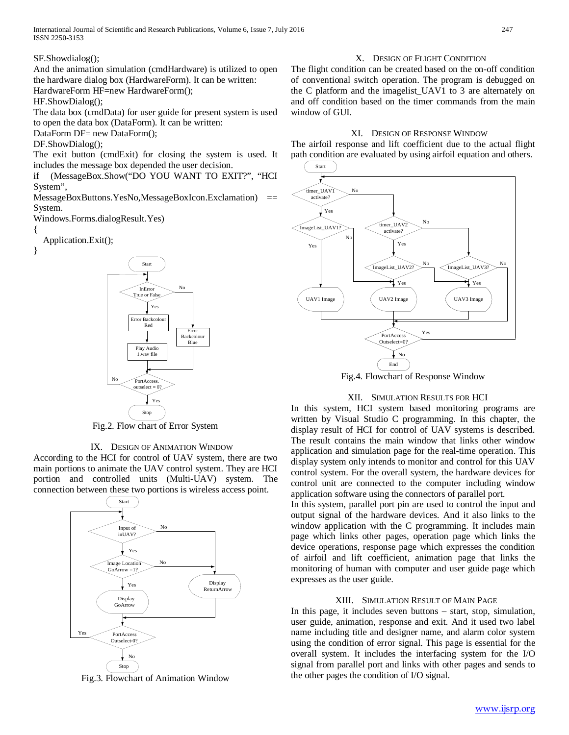And the animation simulation (cmdHardware) is utilized to open the hardware dialog box (HardwareForm). It can be written:

HardwareForm HF=new HardwareForm();

HF.ShowDialog();

The data box (cmdData) for user guide for present system is used to open the data box (DataForm). It can be written:

DataForm DF= new DataForm();

DF.ShowDialog();

The exit button (cmdExit) for closing the system is used. It includes the message box depended the user decision.

if (MessageBox.Show("DO YOU WANT TO EXIT?", "HCI System",

MessageBoxButtons.YesNo,MessageBoxIcon.Exclamation) == System.

Windows.Forms.dialogResult.Yes)

{

Application.Exit();





Fig.2. Flow chart of Error System

#### IX. DESIGN OF ANIMATION WINDOW

According to the HCI for control of UAV system, there are two main portions to animate the UAV control system. They are HCI portion and controlled units (Multi-UAV) system. The connection between these two portions is wireless access point.



Fig.3. Flowchart of Animation Window

#### X. DESIGN OF FLIGHT CONDITION

The flight condition can be created based on the on-off condition of conventional switch operation. The program is debugged on the C platform and the imagelist\_UAV1 to 3 are alternately on and off condition based on the timer commands from the main window of GUI.

#### XI. DESIGN OF RESPONSE WINDOW

The airfoil response and lift coefficient due to the actual flight path condition are evaluated by using airfoil equation and others.



Fig.4. Flowchart of Response Window

#### XII. SIMULATION RESULTS FOR HCI

In this system, HCI system based monitoring programs are written by Visual Studio C programming. In this chapter, the display result of HCI for control of UAV systems is described. The result contains the main window that links other window application and simulation page for the real-time operation. This display system only intends to monitor and control for this UAV control system. For the overall system, the hardware devices for control unit are connected to the computer including window application software using the connectors of parallel port.

In this system, parallel port pin are used to control the input and output signal of the hardware devices. And it also links to the window application with the C programming. It includes main page which links other pages, operation page which links the device operations, response page which expresses the condition of airfoil and lift coefficient, animation page that links the monitoring of human with computer and user guide page which expresses as the user guide.

#### XIII. SIMULATION RESULT OF MAIN PAGE

In this page, it includes seven buttons – start, stop, simulation, user guide, animation, response and exit. And it used two label name including title and designer name, and alarm color system using the condition of error signal. This page is essential for the overall system. It includes the interfacing system for the I/O signal from parallel port and links with other pages and sends to the other pages the condition of I/O signal.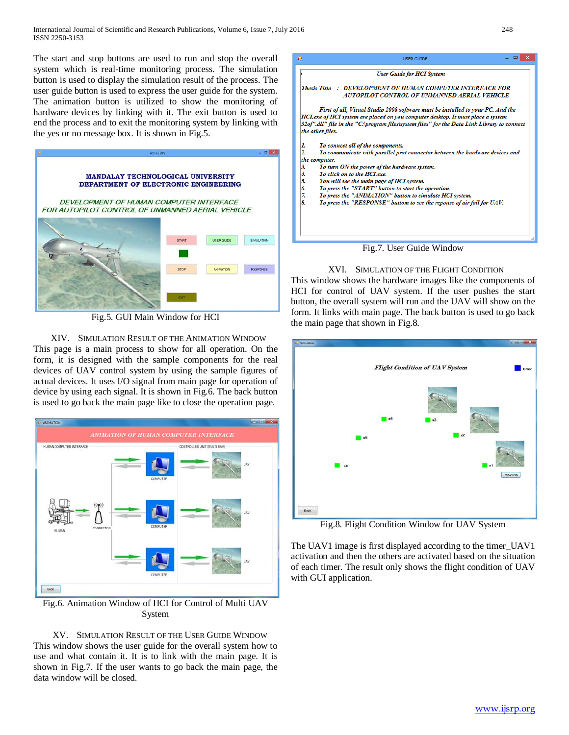The start and stop buttons are used to run and stop the overall system which is real-time monitoring process. The simulation button is used to display the simulation result of the process. The user guide button is used to express the user guide for the system. The animation button is utilized to show the monitoring of hardware devices by linking with it. The exit button is used to end the process and to exit the monitoring system by linking with the yes or no message box. It is shown in Fig.5.



Fig.5. GUI Main Window for HCI

XIV. SIMULATION RESULT OF THE ANIMATION WINDOW This page is a main process to show for all operation. On the form, it is designed with the sample components for the real devices of UAV control system by using the sample figures of actual devices. It uses I/O signal from main page for operation of device by using each signal. It is shown in Fig.6. The back button is used to go back the main page like to close the operation page.



Fig.6. Animation Window of HCI for Control of Multi UAV System

XV. SIMULATION RESULT OF THE USER GUIDE WINDOW This window shows the user guide for the overall system how to use and what contain it. It is to link with the main page. It is shown in Fig.7. If the user wants to go back the main page, the data window will be closed.



### XVI. SIMULATION OF THE FLIGHT CONDITION

This window shows the hardware images like the components of HCI for control of UAV system. If the user pushes the start button, the overall system will run and the UAV will show on the form. It links with main page. The back button is used to go back the main page that shown in Fig.8.



Fig.8. Flight Condition Window for UAV System

The UAV1 image is first displayed according to the timer\_UAV1 activation and then the others are activated based on the situation of each timer. The result only shows the flight condition of UAV with GUI application.